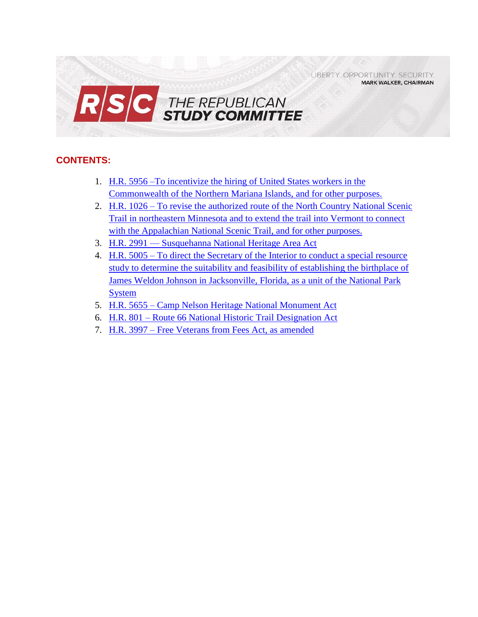LIBERTY. OPPORTUNITY. SECURITY. **MARK WALKER, CHAIRMAN** 



# **CONTENTS:**

- 1. [H.R. 5956 –To incentivize the hiring of United States workers in the](#page-0-0)  [Commonwealth of the Northern Mariana Islands, and for other purposes.](#page-0-0)
- 2. H.R. 1026 [To revise the authorized route of the](#page-4-0) North Country National Scenic [Trail in northeastern Minnesota and to extend the trail into Vermont to connect](#page-4-0)  [with the Appalachian National Scenic Trail, and for other purposes.](#page-4-0)
- 3. H.R. 2991 [Susquehanna National Heritage Area Act](#page-6-0)
- 4. H.R. 5005 [To direct the Secretary of the Interior to conduct a special resource](#page-9-0)  [study to determine the suitability and feasibility of establishing the birthplace of](#page-9-0)  [James Weldon Johnson in Jacksonville, Florida, as a unit of the National Park](#page-9-0)  [System](#page-9-0)
- 5. H.R. 5655 [Camp Nelson Heritage National Monument Act](#page-11-0)
- 6. H.R. 801 [Route 66 National Historic Trail Designation Act](#page-13-0)
- <span id="page-0-0"></span>7. H.R. 3997 – [Free Veterans from Fees Act, as amended](#page-15-0)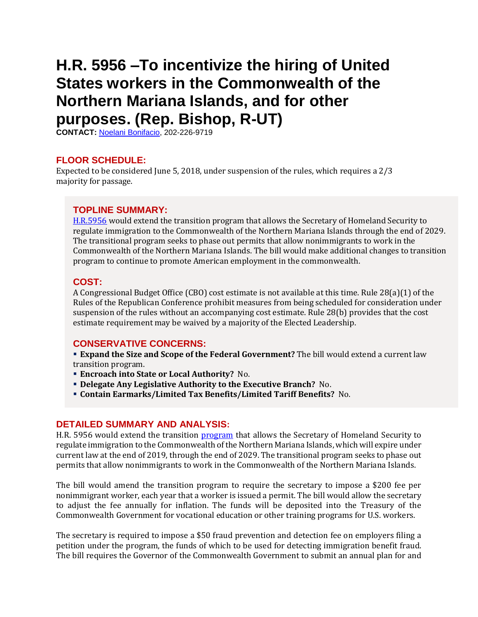# **H.R. 5956 –To incentivize the hiring of United States workers in the Commonwealth of the Northern Mariana Islands, and for other purposes. (Rep. Bishop, R-UT)**

**CONTACT:** [Noelani Bonifacio,](mailto:Noelani.Bonifacio@mail.house.gov) 202-226-9719

# **FLOOR SCHEDULE:**

Expected to be considered June 5, 2018, under suspension of the rules, which requires a 2/3 majority for passage.

#### **TOPLINE SUMMARY:**

[H.R.5956](https://docs.house.gov/billsthisweek/20180604/HR5956.pdf) would extend the transition program that allows the Secretary of Homeland Security to regulate immigration to the Commonwealth of the Northern Mariana Islands through the end of 2029. The transitional program seeks to phase out permits that allow nonimmigrants to work in the Commonwealth of the Northern Mariana Islands. The bill would make additional changes to transition program to continue to promote American employment in the commonwealth.

## **COST:**

A Congressional Budget Office (CBO) cost estimate is not available at this time. Rule 28(a)(1) of the Rules of the Republican Conference prohibit measures from being scheduled for consideration under suspension of the rules without an accompanying cost estimate. Rule 28(b) provides that the cost estimate requirement may be waived by a majority of the Elected Leadership.

#### **CONSERVATIVE CONCERNS:**

 **Expand the Size and Scope of the Federal Government?** The bill would extend a current law transition program.

- **Encroach into State or Local Authority?** No.
- **Delegate Any Legislative Authority to the Executive Branch?** No.
- **Contain Earmarks/Limited Tax Benefits/Limited Tariff Benefits?** No.

#### **DETAILED SUMMARY AND ANALYSIS:**

H.R. 5956 would extend the transition [program](http://uscode.house.gov/view.xhtml?req=(title:48%20section:1806%20edition:prelim)%20OR%20(granuleid:USC-prelim-title48-section1806)&f=treesort&edition=prelim&num=0&jumpTo=true) that allows the Secretary of Homeland Security to regulate immigration to the Commonwealth of the Northern Mariana Islands, which will expire under current law at the end of 2019, through the end of 2029. The transitional program seeks to phase out permits that allow nonimmigrants to work in the Commonwealth of the Northern Mariana Islands.

The bill would amend the transition program to require the secretary to impose a \$200 fee per nonimmigrant worker, each year that a worker is issued a permit. The bill would allow the secretary to adjust the fee annually for inflation. The funds will be deposited into the Treasury of the Commonwealth Government for vocational education or other training programs for U.S. workers.

The secretary is required to impose a \$50 fraud prevention and detection fee on employers filing a petition under the program, the funds of which to be used for detecting immigration benefit fraud. The bill requires the Governor of the Commonwealth Government to submit an annual plan for and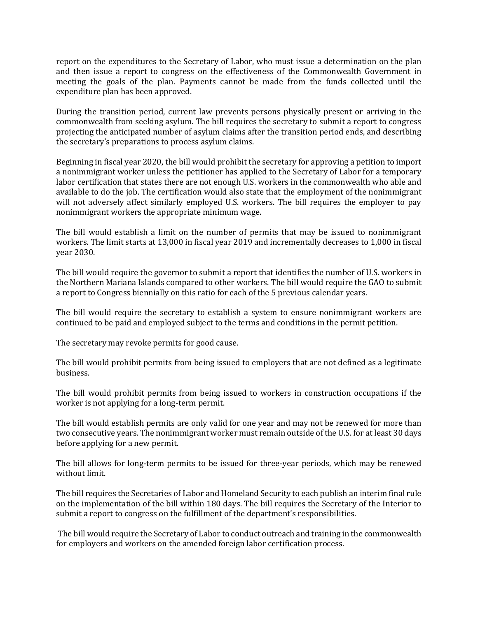report on the expenditures to the Secretary of Labor, who must issue a determination on the plan and then issue a report to congress on the effectiveness of the Commonwealth Government in meeting the goals of the plan. Payments cannot be made from the funds collected until the expenditure plan has been approved.

During the transition period, current law prevents persons physically present or arriving in the commonwealth from seeking asylum. The bill requires the secretary to submit a report to congress projecting the anticipated number of asylum claims after the transition period ends, and describing the secretary's preparations to process asylum claims.

Beginning in fiscal year 2020, the bill would prohibit the secretary for approving a petition to import a nonimmigrant worker unless the petitioner has applied to the Secretary of Labor for a temporary labor certification that states there are not enough U.S. workers in the commonwealth who able and available to do the job. The certification would also state that the employment of the nonimmigrant will not adversely affect similarly employed U.S. workers. The bill requires the employer to pay nonimmigrant workers the appropriate minimum wage.

The bill would establish a limit on the number of permits that may be issued to nonimmigrant workers. The limit starts at 13,000 in fiscal year 2019 and incrementally decreases to 1,000 in fiscal year 2030.

The bill would require the governor to submit a report that identifies the number of U.S. workers in the Northern Mariana Islands compared to other workers. The bill would require the GAO to submit a report to Congress biennially on this ratio for each of the 5 previous calendar years.

The bill would require the secretary to establish a system to ensure nonimmigrant workers are continued to be paid and employed subject to the terms and conditions in the permit petition.

The secretary may revoke permits for good cause.

The bill would prohibit permits from being issued to employers that are not defined as a legitimate business.

The bill would prohibit permits from being issued to workers in construction occupations if the worker is not applying for a long-term permit.

The bill would establish permits are only valid for one year and may not be renewed for more than two consecutive years. The nonimmigrant worker must remain outside of the U.S. for at least 30 days before applying for a new permit.

The bill allows for long-term permits to be issued for three-year periods, which may be renewed without limit.

The bill requires the Secretaries of Labor and Homeland Security to each publish an interim final rule on the implementation of the bill within 180 days. The bill requires the Secretary of the Interior to submit a report to congress on the fulfillment of the department's responsibilities.

The bill would require the Secretary of Labor to conduct outreach and training in the commonwealth for employers and workers on the amended foreign labor certification process.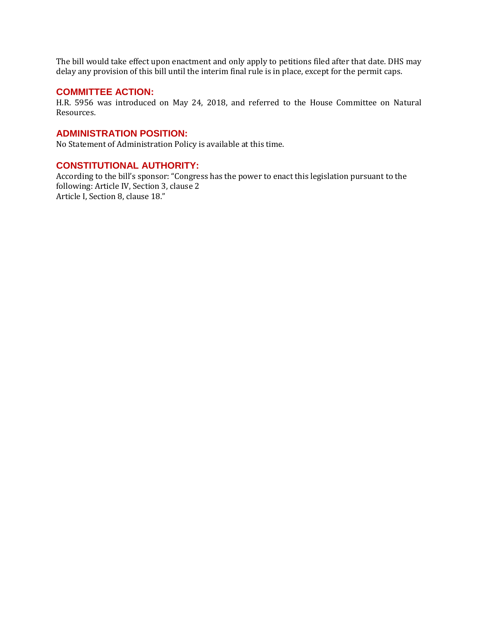The bill would take effect upon enactment and only apply to petitions filed after that date. DHS may delay any provision of this bill until the interim final rule is in place, except for the permit caps.

#### **COMMITTEE ACTION:**

H.R. 5956 was introduced on May 24, 2018, and referred to the House Committee on Natural Resources.

## **ADMINISTRATION POSITION:**

No Statement of Administration Policy is available at this time.

#### **CONSTITUTIONAL AUTHORITY:**

According to the bill's sponsor: "Congress has the power to enact this legislation pursuant to the following: Article IV, Section 3, clause 2 Article I, Section 8, clause 18."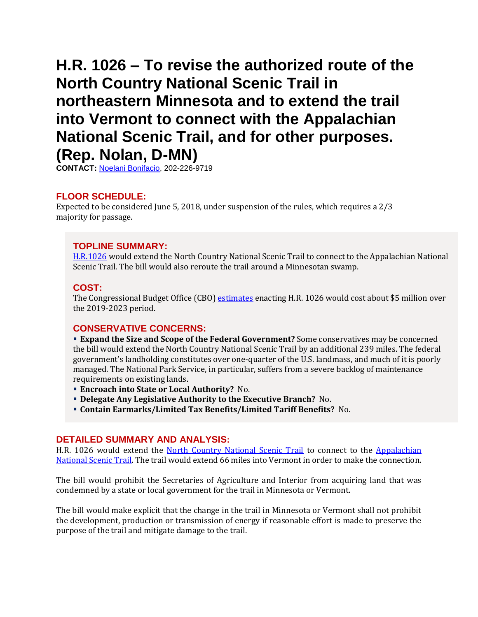# <span id="page-4-0"></span>**H.R. 1026 – To revise the authorized route of the North Country National Scenic Trail in northeastern Minnesota and to extend the trail into Vermont to connect with the Appalachian National Scenic Trail, and for other purposes. (Rep. Nolan, D-MN)**

**CONTACT:** [Noelani Bonifacio,](mailto:Noelani.Bonifacio@mail.house.gov) 202-226-9719

# **FLOOR SCHEDULE:**

Expected to be considered June 5, 2018, under suspension of the rules, which requires a 2/3 majority for passage.

# **TOPLINE SUMMARY:**

[H.R.1026](https://docs.house.gov/billsthisweek/20180604/HR1026.pdf) would extend the North Country National Scenic Trail to connect to the Appalachian National Scenic Trail. The bill would also reroute the trail around a Minnesotan swamp.

# **COST:**

The Congressional Budget Office (CBO) [estimates](https://www.cbo.gov/system/files/115th-congress-2017-2018/costestimate/hr1026nr.pdf) enacting H.R. 1026 would cost about \$5 million over the 2019-2023 period.

# **CONSERVATIVE CONCERNS:**

 **Expand the Size and Scope of the Federal Government?** Some conservatives may be concerned the bill would extend the North Country National Scenic Trail by an additional 239 miles. The federal government's landholding constitutes over one-quarter of the U.S. landmass, and much of it is poorly managed. The National Park Service, in particular, suffers from a severe backlog of maintenance requirements on existing lands.

- **Encroach into State or Local Authority?** No.
- **Delegate Any Legislative Authority to the Executive Branch?** No.
- **Contain Earmarks/Limited Tax Benefits/Limited Tariff Benefits?** No.

#### **DETAILED SUMMARY AND ANALYSIS:**

H.R. 1026 would extend the [North Country National Scenic Trail](https://www.nps.gov/noco/index.htm) to connect to the [Appalachian](https://www.nps.gov/appa/index.htm)  [National Scenic Trail.](https://www.nps.gov/appa/index.htm) The trail would extend 66 miles into Vermont in order to make the connection.

The bill would prohibit the Secretaries of Agriculture and Interior from acquiring land that was condemned by a state or local government for the trail in Minnesota or Vermont.

The bill would make explicit that the change in the trail in Minnesota or Vermont shall not prohibit the development, production or transmission of energy if reasonable effort is made to preserve the purpose of the trail and mitigate damage to the trail.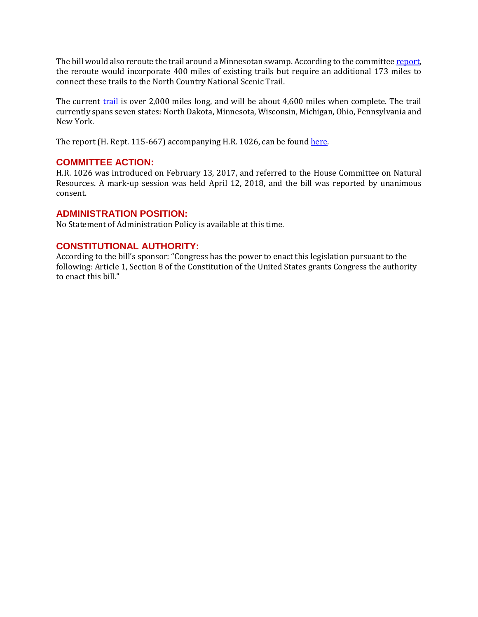The bill would also reroute the trail around a Minnesotan swamp. According to the committe[e report,](https://www.congress.gov/115/crpt/hrpt667/CRPT-115hrpt667.pdf) the reroute would incorporate 400 miles of existing trails but require an additional 173 miles to connect these trails to the North Country National Scenic Trail.

The current [trail](https://www.nps.gov/noco/planyourvisit/upload/NOCO-brochure.pdf) is over 2,000 miles long, and will be about 4,600 miles when complete. The trail currently spans seven states: North Dakota, Minnesota, Wisconsin, Michigan, Ohio, Pennsylvania and New York.

The report (H. Rept. 115-667) accompanying H.R. 1026, can be found [here.](https://www.congress.gov/115/crpt/hrpt667/CRPT-115hrpt667.pdf)

## **COMMITTEE ACTION:**

H.R. 1026 was introduced on February 13, 2017, and referred to the House Committee on Natural Resources. A mark-up session was held April 12, 2018, and the bill was reported by unanimous consent.

## **ADMINISTRATION POSITION:**

No Statement of Administration Policy is available at this time.

## **CONSTITUTIONAL AUTHORITY:**

According to the bill's sponsor: "Congress has the power to enact this legislation pursuant to the following: Article 1, Section 8 of the Constitution of the United States grants Congress the authority to enact this bill."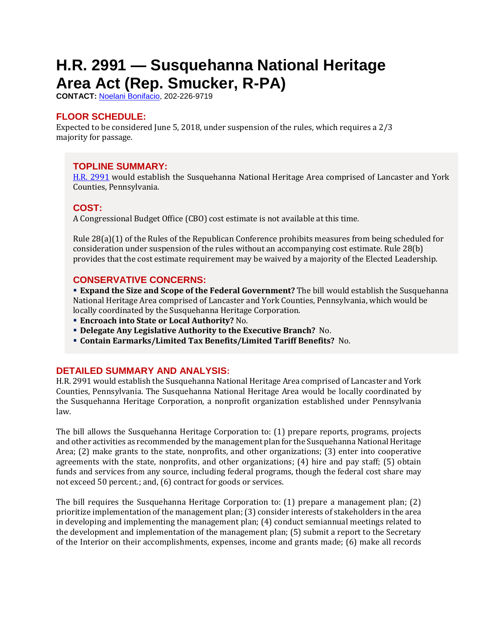# <span id="page-6-0"></span>**H.R. 2991 — Susquehanna National Heritage Area Act (Rep. Smucker, R-PA)**

**CONTACT:** [Noelani Bonifacio,](mailto:Noelani.Bonifacio@mail.house.gov) 202-226-9719

# **FLOOR SCHEDULE:**

Expected to be considered June 5, 2018, under suspension of the rules, which requires a 2/3 majority for passage.

# **TOPLINE SUMMARY:**

[H.R. 2991](https://docs.house.gov/billsthisweek/20180514/HR2991.pdf) would establish the Susquehanna National Heritage Area comprised of Lancaster and York Counties, Pennsylvania.

# **COST:**

A Congressional Budget Office (CBO) cost estimate is not available at this time.

Rule 28(a)(1) of the Rules of the Republican Conference prohibits measures from being scheduled for consideration under suspension of the rules without an accompanying cost estimate. Rule 28(b) provides that the cost estimate requirement may be waived by a majority of the Elected Leadership.

# **CONSERVATIVE CONCERNS:**

 **Expand the Size and Scope of the Federal Government?** The bill would establish the Susquehanna National Heritage Area comprised of Lancaster and York Counties, Pennsylvania, which would be locally coordinated by the Susquehanna Heritage Corporation.

- **Encroach into State or Local Authority?** No.
- **Delegate Any Legislative Authority to the Executive Branch?** No.
- **Contain Earmarks/Limited Tax Benefits/Limited Tariff Benefits?** No.

# **DETAILED SUMMARY AND ANALYSIS:**

H.R. 2991 would establish the Susquehanna National Heritage Area comprised of Lancaster and York Counties, Pennsylvania. The Susquehanna National Heritage Area would be locally coordinated by the Susquehanna Heritage Corporation, a nonprofit organization established under Pennsylvania law.

The bill allows the Susquehanna Heritage Corporation to: (1) prepare reports, programs, projects and other activities as recommended by the management plan for the Susquehanna National Heritage Area; (2) make grants to the state, nonprofits, and other organizations; (3) enter into cooperative agreements with the state, nonprofits, and other organizations; (4) hire and pay staff; (5) obtain funds and services from any source, including federal programs, though the federal cost share may not exceed 50 percent.; and, (6) contract for goods or services.

The bill requires the Susquehanna Heritage Corporation to: (1) prepare a management plan; (2) prioritize implementation of the management plan; (3) consider interests of stakeholders in the area in developing and implementing the management plan; (4) conduct semiannual meetings related to the development and implementation of the management plan; (5) submit a report to the Secretary of the Interior on their accomplishments, expenses, income and grants made; (6) make all records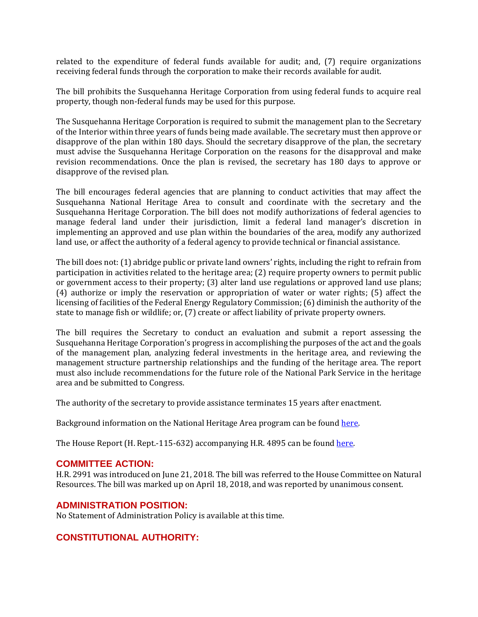related to the expenditure of federal funds available for audit; and, (7) require organizations receiving federal funds through the corporation to make their records available for audit.

The bill prohibits the Susquehanna Heritage Corporation from using federal funds to acquire real property, though non-federal funds may be used for this purpose.

The Susquehanna Heritage Corporation is required to submit the management plan to the Secretary of the Interior within three years of funds being made available. The secretary must then approve or disapprove of the plan within 180 days. Should the secretary disapprove of the plan, the secretary must advise the Susquehanna Heritage Corporation on the reasons for the disapproval and make revision recommendations. Once the plan is revised, the secretary has 180 days to approve or disapprove of the revised plan.

The bill encourages federal agencies that are planning to conduct activities that may affect the Susquehanna National Heritage Area to consult and coordinate with the secretary and the Susquehanna Heritage Corporation. The bill does not modify authorizations of federal agencies to manage federal land under their jurisdiction, limit a federal land manager's discretion in implementing an approved and use plan within the boundaries of the area, modify any authorized land use, or affect the authority of a federal agency to provide technical or financial assistance.

The bill does not: (1) abridge public or private land owners' rights, including the right to refrain from participation in activities related to the heritage area; (2) require property owners to permit public or government access to their property; (3) alter land use regulations or approved land use plans; (4) authorize or imply the reservation or appropriation of water or water rights; (5) affect the licensing of facilities of the Federal Energy Regulatory Commission; (6) diminish the authority of the state to manage fish or wildlife; or, (7) create or affect liability of private property owners.

The bill requires the Secretary to conduct an evaluation and submit a report assessing the Susquehanna Heritage Corporation's progress in accomplishing the purposes of the act and the goals of the management plan, analyzing federal investments in the heritage area, and reviewing the management structure partnership relationships and the funding of the heritage area. The report must also include recommendations for the future role of the National Park Service in the heritage area and be submitted to Congress.

The authority of the secretary to provide assistance terminates 15 years after enactment.

Background information on the National Heritage Area program can be foun[d here.](https://www.nps.gov/articles/what-is-a-national-heritage-area.htm)

The House Report (H. Rept.-115-632) accompanying H.R. 4895 can be foun[d here.](https://www.congress.gov/115/crpt/hrpt632/CRPT-115hrpt632.pdf)

#### **COMMITTEE ACTION:**

H.R. 2991 was introduced on June 21, 2018. The bill was referred to the House Committee on Natural Resources. The bill was marked up on April 18, 2018, and was reported by unanimous consent.

#### **ADMINISTRATION POSITION:**

No Statement of Administration Policy is available at this time.

# **CONSTITUTIONAL AUTHORITY:**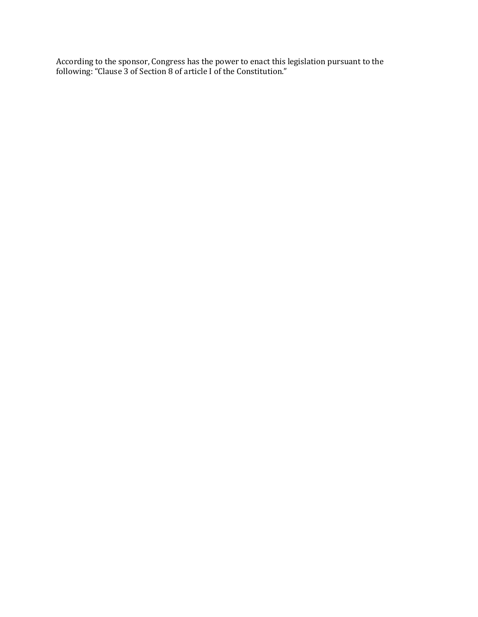According to the sponsor, Congress has the power to enact this legislation pursuant to the following: "Clause 3 of Section 8 of article I of the Constitution."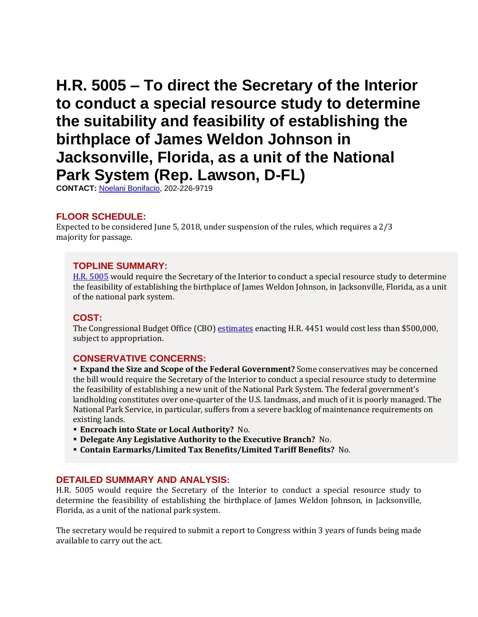# <span id="page-9-0"></span>**H.R. 5005 – To direct the Secretary of the Interior to conduct a special resource study to determine the suitability and feasibility of establishing the birthplace of James Weldon Johnson in Jacksonville, Florida, as a unit of the National Park System (Rep. Lawson, D-FL)**

**CONTACT:** [Noelani Bonifacio,](mailto:Noelani.Bonifacio@mail.house.gov) 202-226-9719

## **FLOOR SCHEDULE:**

Expected to be considered June 5, 2018, under suspension of the rules, which requires a 2/3 majority for passage.

#### **TOPLINE SUMMARY:**

[H.R. 5005](https://docs.house.gov/billsthisweek/20180604/HR5005.pdf) would require the Secretary of the Interior to conduct a special resource study to determine the feasibility of establishing the birthplace of James Weldon Johnson, in Jacksonville, Florida, as a unit of the national park system.

#### **COST:**

The Congressional Budget Office (CBO) [estimates](https://www.cbo.gov/publication/53784) enacting H.R. 4451 would cost less than \$500,000, subject to appropriation.

#### **CONSERVATIVE CONCERNS:**

 **Expand the Size and Scope of the Federal Government?** Some conservatives may be concerned the bill would require the Secretary of the Interior to conduct a special resource study to determine the feasibility of establishing a new unit of the National Park System. The federal government's landholding constitutes over one-quarter of the U.S. landmass, and much of it is poorly managed. The National Park Service, in particular, suffers from a severe backlog of maintenance requirements on existing lands.

- **Encroach into State or Local Authority?** No.
- **Delegate Any Legislative Authority to the Executive Branch?** No.
- **Contain Earmarks/Limited Tax Benefits/Limited Tariff Benefits?** No.

#### **DETAILED SUMMARY AND ANALYSIS:**

H.R. 5005 would require the Secretary of the Interior to conduct a special resource study to determine the feasibility of establishing the birthplace of James Weldon Johnson, in Jacksonville, Florida, as a unit of the national park system.

The secretary would be required to submit a report to Congress within 3 years of funds being made available to carry out the act.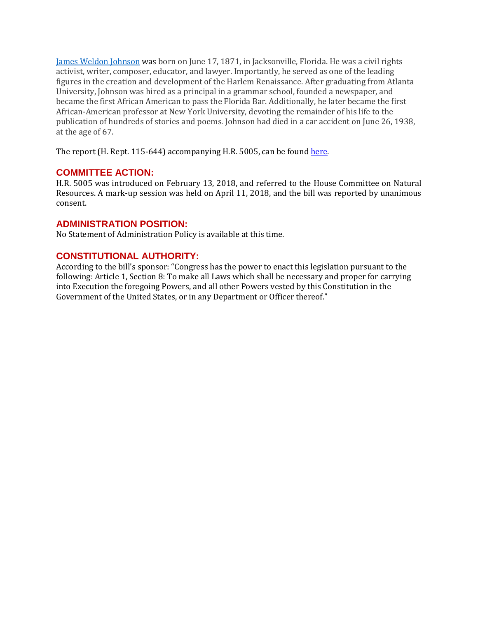[James Weldon Johnson](https://www.biography.com/people/james-weldon-johnson-9356013) was born on June 17, 1871, in Jacksonville, Florida. He was a civil rights activist, writer, composer, educator, and lawyer. Importantly, he served as one of the leading figures in the creation and development of the Harlem Renaissance. After graduating from Atlanta University, Johnson was hired as a principal in a grammar school, founded a newspaper, and became the first African American to pass the Florida Bar. Additionally, he later became the first African-American professor at New York University, devoting the remainder of his life to the publication of hundreds of stories and poems. Johnson had died in a car accident on June 26, 1938, at the age of 67.

The report (H. Rept. 115-644) accompanying H.R. 5005, can be found [here.](https://www.congress.gov/115/crpt/hrpt644/CRPT-115hrpt644.pdf)

## **COMMITTEE ACTION:**

H.R. 5005 was introduced on February 13, 2018, and referred to the House Committee on Natural Resources. A mark-up session was held on April 11, 2018, and the bill was reported by unanimous consent.

## **ADMINISTRATION POSITION:**

No Statement of Administration Policy is available at this time.

# **CONSTITUTIONAL AUTHORITY:**

According to the bill's sponsor: "Congress has the power to enact this legislation pursuant to the following: Article 1, Section 8: To make all Laws which shall be necessary and proper for carrying into Execution the foregoing Powers, and all other Powers vested by this Constitution in the Government of the United States, or in any Department or Officer thereof."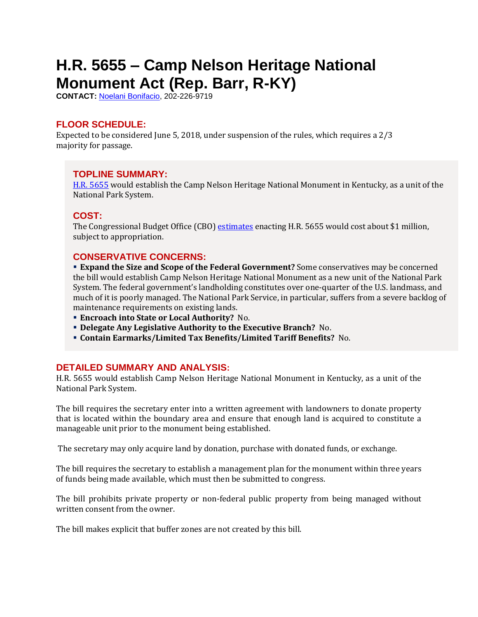# <span id="page-11-0"></span>**H.R. 5655 – Camp Nelson Heritage National Monument Act (Rep. Barr, R-KY)**

**CONTACT:** [Noelani Bonifacio,](mailto:Noelani.Bonifacio@mail.house.gov) 202-226-9719

# **FLOOR SCHEDULE:**

Expected to be considered June 5, 2018, under suspension of the rules, which requires a 2/3 majority for passage.

## **TOPLINE SUMMARY:**

[H.R. 5655](https://docs.house.gov/billsthisweek/20180604/HR5655.pdf) would establish the Camp Nelson Heritage National Monument in Kentucky, as a unit of the National Park System.

# **COST:**

The Congressional Budget Office (CBO) [estimates](https://www.cbo.gov/system/files/115th-congress-2017-2018/costestimate/hr5655.pdf) enacting H.R. 5655 would cost about \$1 million, subject to appropriation.

## **CONSERVATIVE CONCERNS:**

 **Expand the Size and Scope of the Federal Government?** Some conservatives may be concerned the bill would establish Camp Nelson Heritage National Monument as a new unit of the National Park System. The federal government's landholding constitutes over one-quarter of the U.S. landmass, and much of it is poorly managed. The National Park Service, in particular, suffers from a severe backlog of maintenance requirements on existing lands.

- **Encroach into State or Local Authority?** No.
- **Delegate Any Legislative Authority to the Executive Branch?** No.
- **Contain Earmarks/Limited Tax Benefits/Limited Tariff Benefits?** No.

#### **DETAILED SUMMARY AND ANALYSIS:**

H.R. 5655 would establish Camp Nelson Heritage National Monument in Kentucky, as a unit of the National Park System.

The bill requires the secretary enter into a written agreement with landowners to donate property that is located within the boundary area and ensure that enough land is acquired to constitute a manageable unit prior to the monument being established.

The secretary may only acquire land by donation, purchase with donated funds, or exchange.

The bill requires the secretary to establish a management plan for the monument within three years of funds being made available, which must then be submitted to congress.

The bill prohibits private property or non-federal public property from being managed without written consent from the owner.

The bill makes explicit that buffer zones are not created by this bill.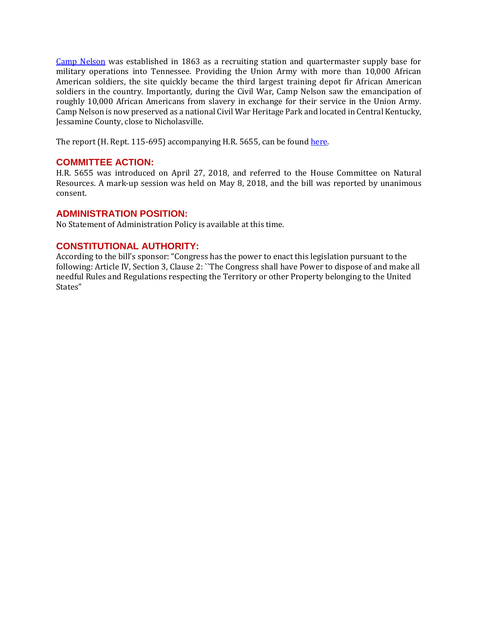[Camp Nelson](http://explorekyhistory.ky.gov/items/show/170) was established in 1863 as a recruiting station and quartermaster supply base for military operations into Tennessee. Providing the Union Army with more than 10,000 African American soldiers, the site quickly became the third largest training depot fir African American soldiers in the country. Importantly, during the Civil War, Camp Nelson saw the emancipation of roughly 10,000 African Americans from slavery in exchange for their service in the Union Army. Camp Nelson is now preserved as a national Civil War Heritage Park and located in Central Kentucky, Jessamine County, close to Nicholasville.

The report (H. Rept. 115-695) accompanying H.R. 5655, can be found [here.](https://www.congress.gov/115/crpt/hrpt695/CRPT-115hrpt695.pdf)

#### **COMMITTEE ACTION:**

H.R. 5655 was introduced on April 27, 2018, and referred to the House Committee on Natural Resources. A mark-up session was held on May 8, 2018, and the bill was reported by unanimous consent.

#### **ADMINISTRATION POSITION:**

No Statement of Administration Policy is available at this time.

## **CONSTITUTIONAL AUTHORITY:**

According to the bill's sponsor: "Congress has the power to enact this legislation pursuant to the following: Article IV, Section 3, Clause 2: ``The Congress shall have Power to dispose of and make all needful Rules and Regulations respecting the Territory or other Property belonging to the United States"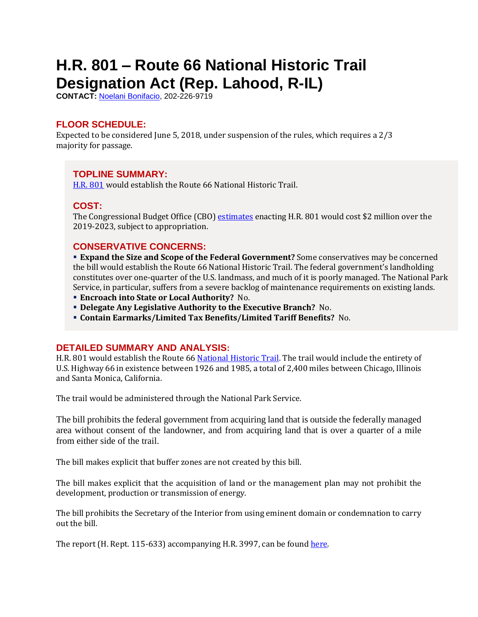# <span id="page-13-0"></span>**H.R. 801 – Route 66 National Historic Trail Designation Act (Rep. Lahood, R-IL)**

**CONTACT:** [Noelani Bonifacio,](mailto:Noelani.Bonifacio@mail.house.gov) 202-226-9719

# **FLOOR SCHEDULE:**

Expected to be considered June 5, 2018, under suspension of the rules, which requires a 2/3 majority for passage.

# **TOPLINE SUMMARY:**

[H.R. 801](https://docs.house.gov/billsthisweek/20180604/HR801.pdf) would establish the Route 66 National Historic Trail.

# **COST:**

The Congressional Budget Office (CBO) [estimates](https://www.cbo.gov/system/files/115th-congress-2017-2018/costestimate/hr801.pdf) enacting H.R. 801 would cost \$2 million over the 2019-2023, subject to appropriation.

#### **CONSERVATIVE CONCERNS:**

 **Expand the Size and Scope of the Federal Government?** Some conservatives may be concerned the bill would establish the Route 66 National Historic Trail. The federal government's landholding constitutes over one-quarter of the U.S. landmass, and much of it is poorly managed. The National Park Service, in particular, suffers from a severe backlog of maintenance requirements on existing lands.

- **Encroach into State or Local Authority?** No.
- **Delegate Any Legislative Authority to the Executive Branch?** No.
- **Contain Earmarks/Limited Tax Benefits/Limited Tariff Benefits?** No.

#### **DETAILED SUMMARY AND ANALYSIS:**

H.R. 801 would establish the Route 6[6 National Historic Trail.](https://www.nps.gov/subjects/nationaltrailssystem/national-historic-trails.htm) The trail would include the entirety of U.S. Highway 66 in existence between 1926 and 1985, a total of 2,400 miles between Chicago, Illinois and Santa Monica, California.

The trail would be administered through the National Park Service.

The bill prohibits the federal government from acquiring land that is outside the federally managed area without consent of the landowner, and from acquiring land that is over a quarter of a mile from either side of the trail.

The bill makes explicit that buffer zones are not created by this bill.

The bill makes explicit that the acquisition of land or the management plan may not prohibit the development, production or transmission of energy.

The bill prohibits the Secretary of the Interior from using eminent domain or condemnation to carry out the bill.

The report (H. Rept. 115-633) accompanying H.R. 3997, can be found [here.](https://www.congress.gov/115/crpt/hrpt633/CRPT-115hrpt633.pdf)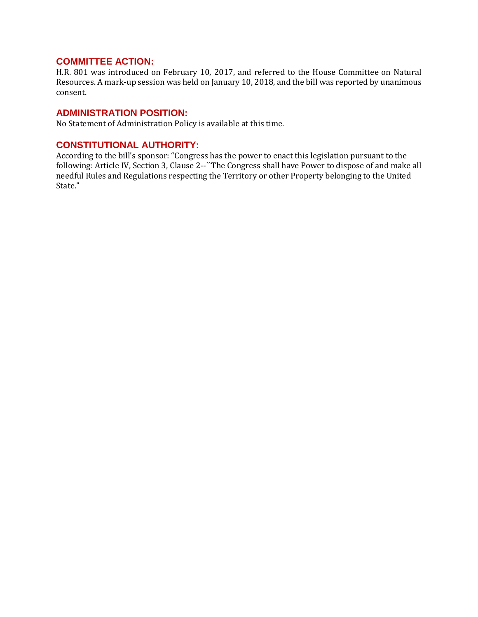## **COMMITTEE ACTION:**

H.R. 801 was introduced on February 10, 2017, and referred to the House Committee on Natural Resources. A mark-up session was held on January 10, 2018, and the bill was reported by unanimous consent.

#### **ADMINISTRATION POSITION:**

No Statement of Administration Policy is available at this time.

#### **CONSTITUTIONAL AUTHORITY:**

According to the bill's sponsor: "Congress has the power to enact this legislation pursuant to the following: Article IV, Section 3, Clause 2--``The Congress shall have Power to dispose of and make all needful Rules and Regulations respecting the Territory or other Property belonging to the United State."